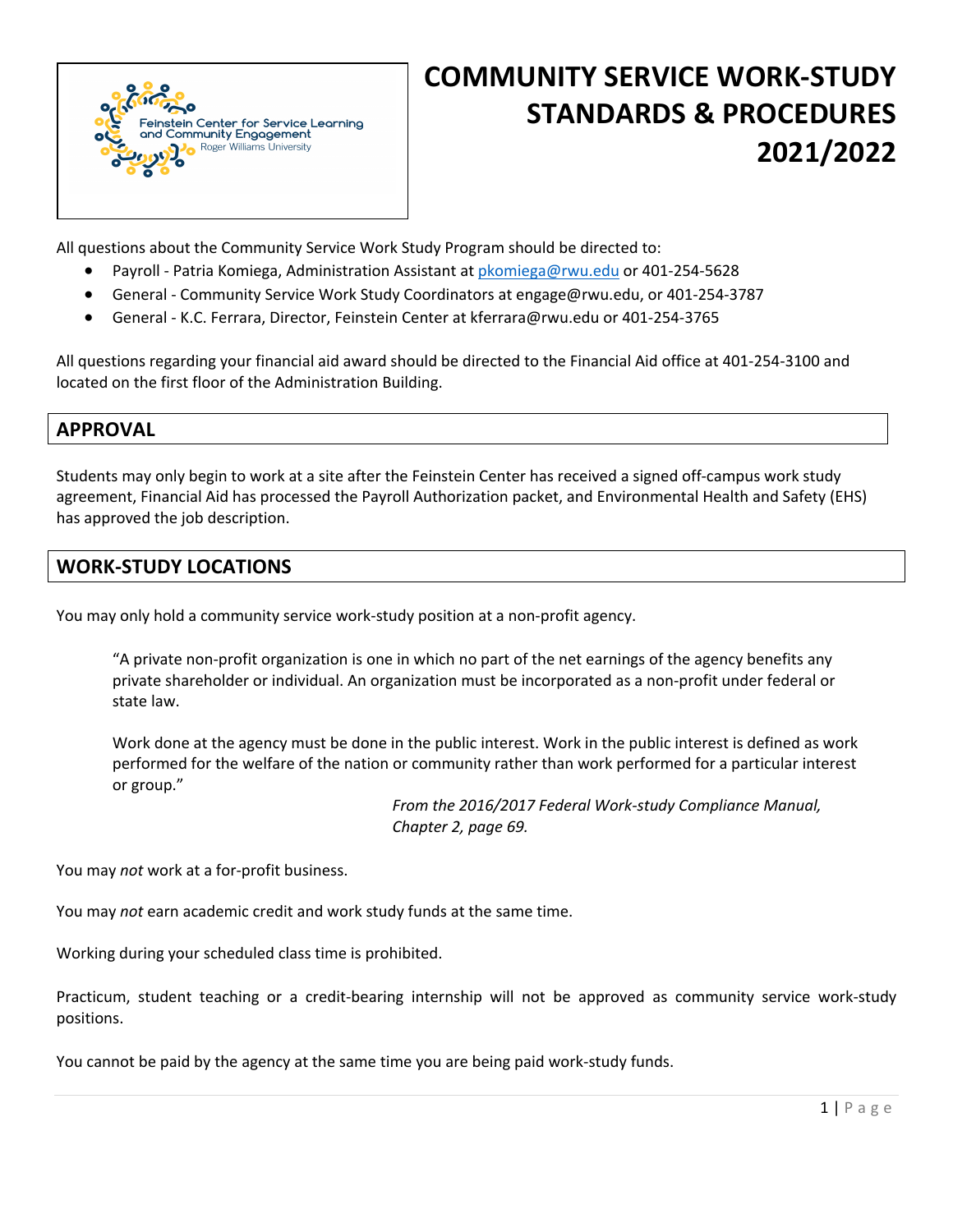

# **COMMUNITY SERVICE WORK-STUDY STANDARDS & PROCEDURES 2021/2022**

All questions about the Community Service Work Study Program should be directed to:

- Payroll Patria Komiega, Administration Assistant at pkomiega@rwu.edu or 401-254-5628
- General Community Service Work Study Coordinators at engage@rwu.edu, or 401-254-3787
- General K.C. Ferrara, Director, Feinstein Center at kferrara@rwu.edu or 401-254-3765

All questions regarding your financial aid award should be directed to the Financial Aid office at 401-254-3100 and located on the first floor of the Administration Building.

## **APPROVAL**

Students may only begin to work at a site after the Feinstein Center has received a signed off-campus work study agreement, Financial Aid has processed the Payroll Authorization packet, and Environmental Health and Safety (EHS) has approved the job description.

# **WORK-STUDY LOCATIONS**

You may only hold a community service work-study position at a non-profit agency.

"A private non-profit organization is one in which no part of the net earnings of the agency benefits any private shareholder or individual. An organization must be incorporated as a non-profit under federal or state law.

Work done at the agency must be done in the public interest. Work in the public interest is defined as work performed for the welfare of the nation or community rather than work performed for a particular interest or group."

> *From the 2016/2017 Federal Work-study Compliance Manual, Chapter 2, page 69.*

You may *not* work at a for-profit business.

You may *not* earn academic credit and work study funds at the same time.

Working during your scheduled class time is prohibited.

Practicum, student teaching or a credit-bearing internship will not be approved as community service work-study positions.

You cannot be paid by the agency at the same time you are being paid work-study funds.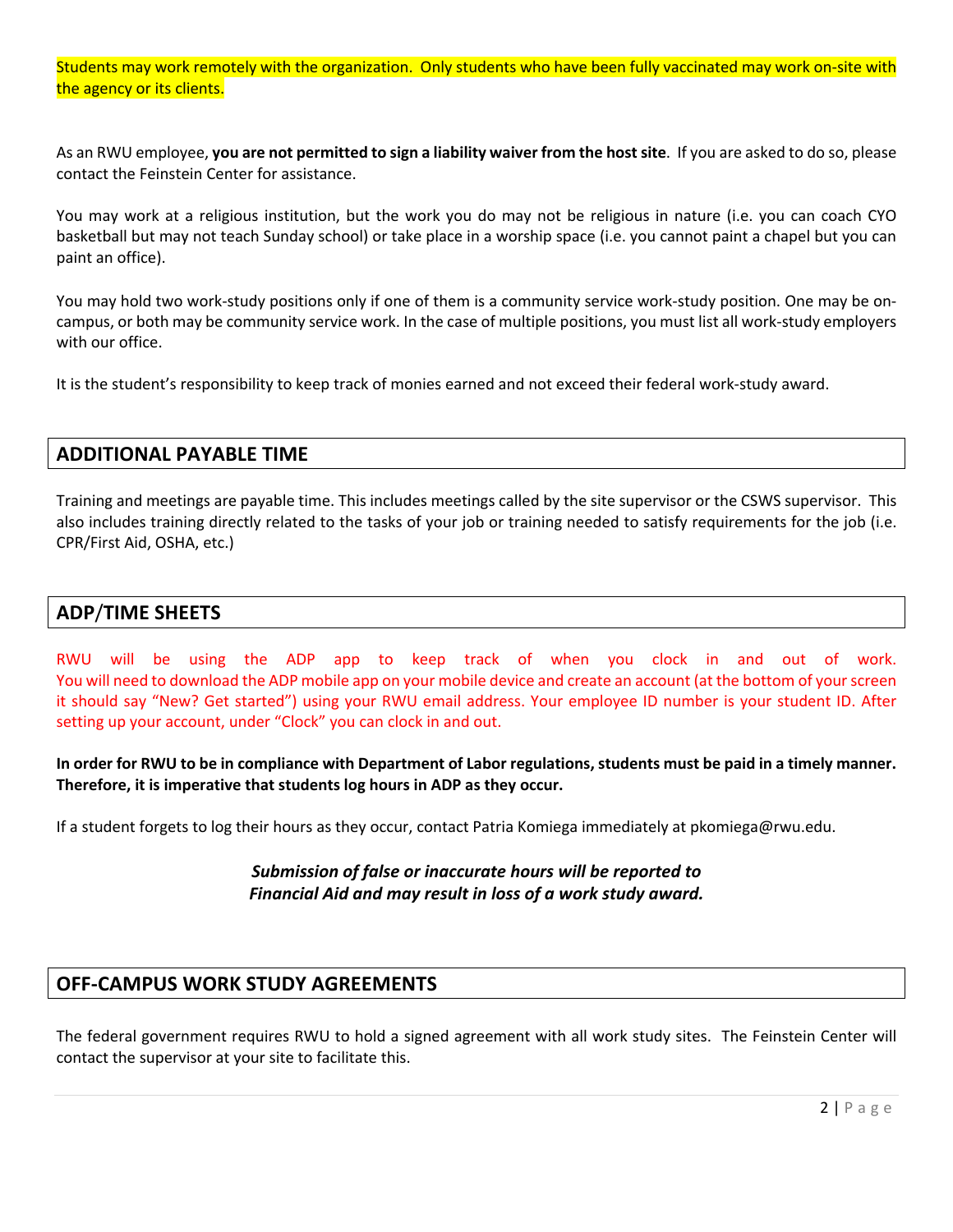Students may work remotely with the organization. Only students who have been fully vaccinated may work on-site with the agency or its clients.

As an RWU employee, **you are not permitted to sign a liability waiver from the host site**. If you are asked to do so, please contact the Feinstein Center for assistance.

You may work at a religious institution, but the work you do may not be religious in nature (i.e. you can coach CYO basketball but may not teach Sunday school) or take place in a worship space (i.e. you cannot paint a chapel but you can paint an office).

You may hold two work-study positions only if one of them is a community service work-study position. One may be oncampus, or both may be community service work. In the case of multiple positions, you must list all work-study employers with our office.

It is the student's responsibility to keep track of monies earned and not exceed their federal work-study award.

#### **ADDITIONAL PAYABLE TIME**

Training and meetings are payable time. This includes meetings called by the site supervisor or the CSWS supervisor. This also includes training directly related to the tasks of your job or training needed to satisfy requirements for the job (i.e. CPR/First Aid, OSHA, etc.)

#### **ADP**/**TIME SHEETS**

RWU will be using the ADP app to keep track of when you clock in and out of work. You will need to download the ADP mobile app on your mobile device and create an account (at the bottom of your screen it should say "New? Get started") using your RWU email address. Your employee ID number is your student ID. After setting up your account, under "Clock" you can clock in and out.

**In order for RWU to be in compliance with Department of Labor regulations, students must be paid in a timely manner. Therefore, it is imperative that students log hours in ADP as they occur.**

If a student forgets to log their hours as they occur, contact Patria Komiega immediately at pkomiega@rwu.edu.

#### *Submission of false or inaccurate hours will be reported to Financial Aid and may result in loss of a work study award.*

#### **OFF-CAMPUS WORK STUDY AGREEMENTS**

The federal government requires RWU to hold a signed agreement with all work study sites. The Feinstein Center will contact the supervisor at your site to facilitate this.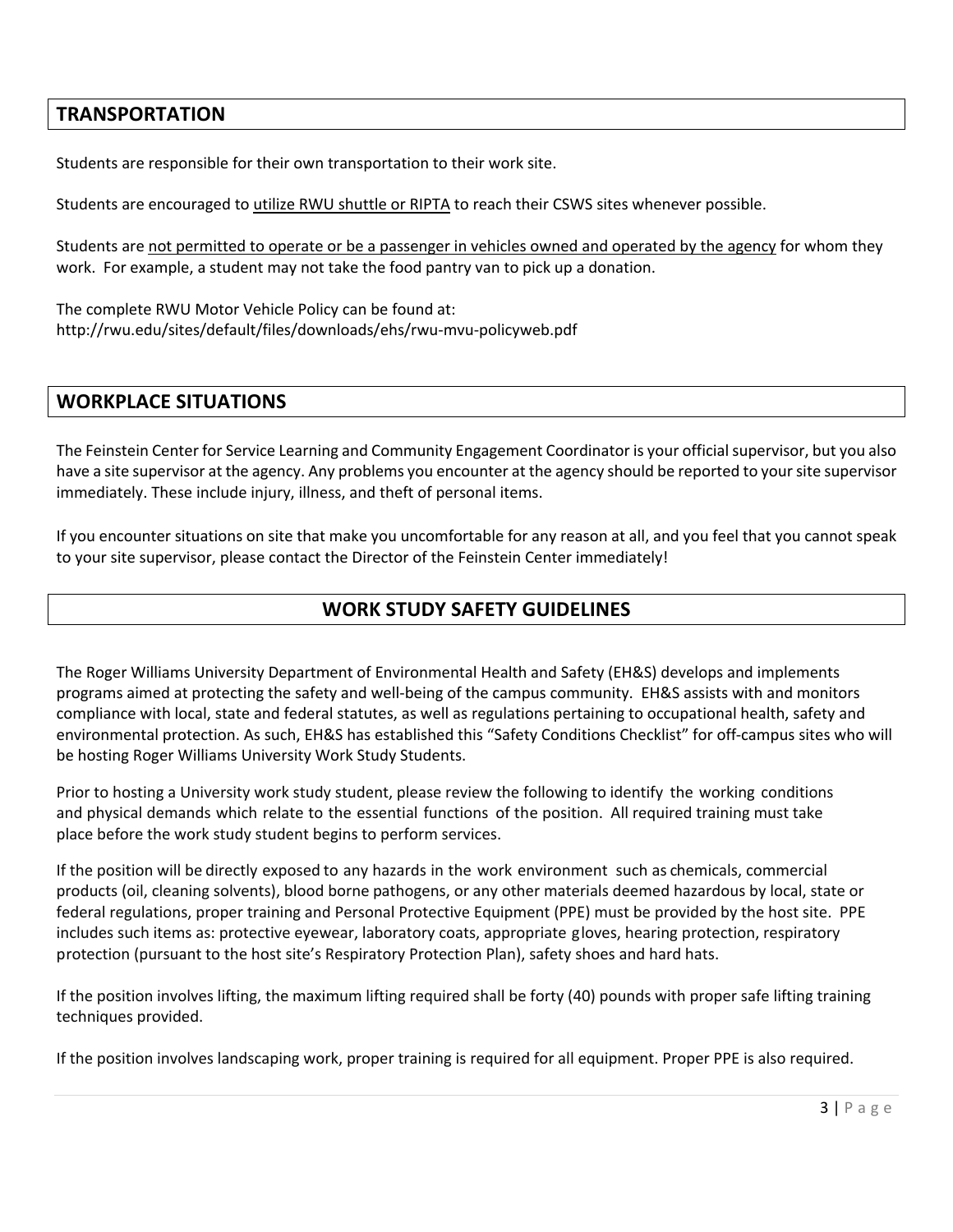## **TRANSPORTATION**

Students are responsible for their own transportation to their work site.

Students are encouraged to utilize RWU shuttle or RIPTA to reach their CSWS sites whenever possible.

Students are not permitted to operate or be a passenger in vehicles owned and operated by the agency for whom they work. For example, a student may not take the food pantry van to pick up a donation.

The complete RWU Motor Vehicle Policy can be found at: http://rwu.edu/sites/default/files/downloads/ehs/rwu-mvu-policyweb.pdf

# **WORKPLACE SITUATIONS**

The Feinstein Center for Service Learning and Community Engagement Coordinator is your official supervisor, but you also have a site supervisor at the agency. Any problems you encounter at the agency should be reported to your site supervisor immediately. These include injury, illness, and theft of personal items.

If you encounter situations on site that make you uncomfortable for any reason at all, and you feel that you cannot speak to your site supervisor, please contact the Director of the Feinstein Center immediately!

## **WORK STUDY SAFETY GUIDELINES**

The Roger Williams University Department of Environmental Health and Safety (EH&S) develops and implements programs aimed at protecting the safety and well-being of the campus community. EH&S assists with and monitors compliance with local, state and federal statutes, as well as regulations pertaining to occupational health, safety and environmental protection. As such, EH&S has established this "Safety Conditions Checklist" for off-campus sites who will be hosting Roger Williams University Work Study Students.

Prior to hosting a University work study student, please review the following to identify the working conditions and physical demands which relate to the essential functions of the position. All required training must take place before the work study student begins to perform services.

If the position will be directly exposed to any hazards in the work environment such as chemicals, commercial products (oil, cleaning solvents), blood borne pathogens, or any other materials deemed hazardous by local, state or federal regulations, proper training and Personal Protective Equipment (PPE) must be provided by the host site. PPE includes such items as: protective eyewear, laboratory coats, appropriate gloves, hearing protection, respiratory protection (pursuant to the host site's Respiratory Protection Plan), safety shoes and hard hats.

If the position involves lifting, the maximum lifting required shall be forty (40) pounds with proper safe lifting training techniques provided.

If the position involves landscaping work, proper training is required for all equipment. Proper PPE is also required.